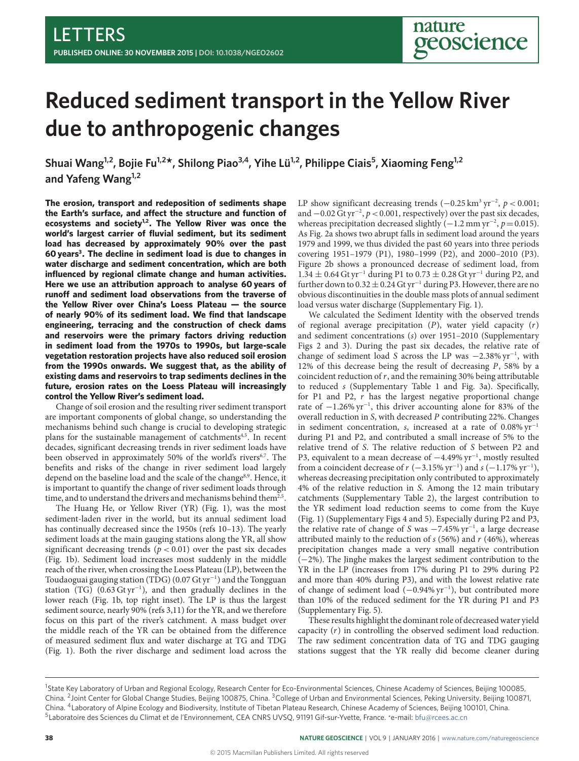# **Reduced sediment transport in the Yellow River due to anthropogenic changes**

Shuai Wang<sup>1,2</sup>, Bojie Fu<sup>1,2\*</sup>, Shilong Piao<sup>3,4</sup>, Yihe Lü<sup>1,2</sup>, Philippe Ciais<sup>5</sup>, Xiaoming Feng<sup>1,2</sup> **and Yafeng Wang1,2**

**The erosion, transport and redeposition of sediments shape** the Earth's surface, and affect the structure and function of **ecosystems and society[1](#page-3-0)[,2](#page-3-1) . The Yellow River was once the world's largest carrier of fluvial sediment, but its sediment load has decreased by approximately 90% over the past 60 years[3](#page-3-2) . The decline in sediment load is due to changes in water discharge and sediment concentration, which are both influenced by regional climate change and human activities. Here we use an attribution approach to analyse 60 years of** runoff and sediment load observations from the traverse of **the Yellow River over China's Loess Plateau — the source of nearly 90% of its sediment load. We find that landscape engineering, terracing and the construction of check dams and reservoirs were the primary factors driving reduction in sediment load from the 1970s to 1990s, but large-scale vegetation restoration projects have also reduced soil erosion from the 1990s onwards. We suggest that, as the ability of existing dams and reservoirs to trap sediments declines in the future, erosion rates on the Loess Plateau will increasingly control the Yellow River's sediment load.**

Change of soil erosion and the resulting river sediment transport are important components of global change, so understanding the mechanisms behind such change is crucial to developing strategic plans for the sustainable management of catchments<sup>[4](#page-3-3)[,5](#page-3-4)</sup>. In recent decades, significant decreasing trends in river sediment loads have been observed in approximately 50% of the world's rivers<sup>[6](#page-3-5)[,7](#page-3-6)</sup>. The benefits and risks of the change in river sediment load largely depend on the baseline load and the scale of the change<sup>[8](#page-3-7)[,9](#page-3-8)</sup>. Hence, it is important to quantify the change of river sediment loads through time, and to understand the drivers and mechanisms behind them<sup>[2](#page-3-1)[,5](#page-3-4)</sup>.

The Huang He, or Yellow River (YR) (Fig. [1\)](#page-1-0), was the most sediment-laden river in the world, but its annual sediment load has continually decreased since the 1950s (refs [10](#page-3-9)[–13\)](#page-3-10). The yearly sediment loads at the main gauging stations along the YR, all show significant decreasing trends ( $p < 0.01$ ) over the past six decades (Fig. [1b](#page-1-0)). Sediment load increases most suddenly in the middle reach of the river, when crossing the Loess Plateau (LP), between the Toudaoguai gauging station (TDG) (0.07 Gt yr<sup>−</sup><sup>1</sup> ) and the Tongguan station (TG) (0.63 Gt yr<sup>−</sup><sup>1</sup> ), and then gradually declines in the lower reach (Fig. [1b](#page-1-0), top right inset). The LP is thus the largest sediment source, nearly 90% (refs [3,](#page-3-2)[11\)](#page-3-11) for the YR, and we therefore focus on this part of the river's catchment. A mass budget over the middle reach of the YR can be obtained from the difference of measured sediment flux and water discharge at TG and TDG (Fig. [1\)](#page-1-0). Both the river discharge and sediment load across the

LP show significant decreasing trends  $(-0.25 \text{ km}^3 \text{ yr}^{-2}, p < 0.001;$ and  $-0.02$  Gt yr<sup>-2</sup>,  $p < 0.001$ , respectively) over the past six decades, whereas precipitation decreased slightly  $(-1.2 \text{ mm yr}^{-2}, p=0.015)$ . As Fig. [2a](#page-2-0) shows two abrupt falls in sediment load around the years 1979 and 1999, we thus divided the past 60 years into three periods covering 1951–1979 (P1), 1980–1999 (P2), and 2000–2010 (P3). Figure [2b](#page-2-0) shows a pronounced decrease of sediment load, from 1.34 ± 0.64 Gt yr<sup>-1</sup> during P1 to 0.73 ± 0.28 Gt yr<sup>-1</sup> during P2, and further down to  $0.32 \pm 0.24$  Gt yr<sup>-1</sup> during P3. However, there are no obvious discontinuities in the double mass plots of annual sediment load versus water discharge (Supplementary Fig. 1).

We calculated the Sediment Identity with the observed trends of regional average precipitation  $(P)$ , water yield capacity  $(r)$ and sediment concentrations (s) over 1951–2010 (Supplementary Figs 2 and 3). During the past six decades, the relative rate of change of sediment load S across the LP was -2.38% yr<sup>-1</sup>, with 12% of this decrease being the result of decreasing  $P$ , 58% by a coincident reduction of  $r$ , and the remaining 30% being attributable to reduced s (Supplementary Table 1 and Fig. [3a](#page-2-1)). Specifically, for P1 and P2,  $r$  has the largest negative proportional change rate of −1.26% yr<sup>−</sup><sup>1</sup> , this driver accounting alone for 83% of the overall reduction in S, with decreased P contributing 22%. Changes in sediment concentration, s, increased at a rate of 0.08% yr<sup>−</sup><sup>1</sup> during P1 and P2, and contributed a small increase of 5% to the relative trend of S. The relative reduction of S between P2 and P3, equivalent to a mean decrease of  $-4.49\%$  yr<sup>-1</sup>, mostly resulted from a coincident decrease of  $r$  (-3.15% yr<sup>-1</sup>) and  $s$  (-1.17% yr<sup>-1</sup>), whereas decreasing precipitation only contributed to approximately 4% of the relative reduction in S. Among the 12 main tributary catchments (Supplementary Table 2), the largest contribution to the YR sediment load reduction seems to come from the Kuye (Fig. [1\)](#page-1-0) (Supplementary Figs 4 and 5). Especially during P2 and P3, the relative rate of change of S was −7.45% yr<sup>−</sup><sup>1</sup> , a large decrease attributed mainly to the reduction of  $s$  (56%) and  $r$  (46%), whereas precipitation changes made a very small negative contribution (−2%). The Jinghe makes the largest sediment contribution to the YR in the LP (increases from 17% during P1 to 29% during P2 and more than 40% during P3), and with the lowest relative rate of change of sediment load (−0.94% yr<sup>−</sup><sup>1</sup> ), but contributed more than 10% of the reduced sediment for the YR during P1 and P3 (Supplementary Fig. 5).

These results highlight the dominant role of decreased water yield capacity  $(r)$  in controlling the observed sediment load reduction. The raw sediment concentration data of TG and TDG gauging stations suggest that the YR really did become cleaner during

<sup>&</sup>lt;sup>1</sup>State Key Laboratory of Urban and Regional Ecology, Research Center for Eco-Environmental Sciences, Chinese Academy of Sciences, Beijing 100085, China. <sup>2</sup> Joint Center for Global Change Studies, Beijing 100875, China. <sup>3</sup>College of Urban and Environmental Sciences, Peking University, Beijing 100871, China. <sup>4</sup> Laboratory of Alpine Ecology and Biodiversity, Institute of Tibetan Plateau Research, Chinese Academy of Sciences, Beijing 100101, China. <sup>5</sup>Laboratoire des Sciences du Climat et de l'Environnement, CEA CNRS UVSQ, 91191 Gif-sur-Yvette, France. \*e-mail: [bfu@rcees.ac.cn](mailto:bfu@rcees.ac.cn)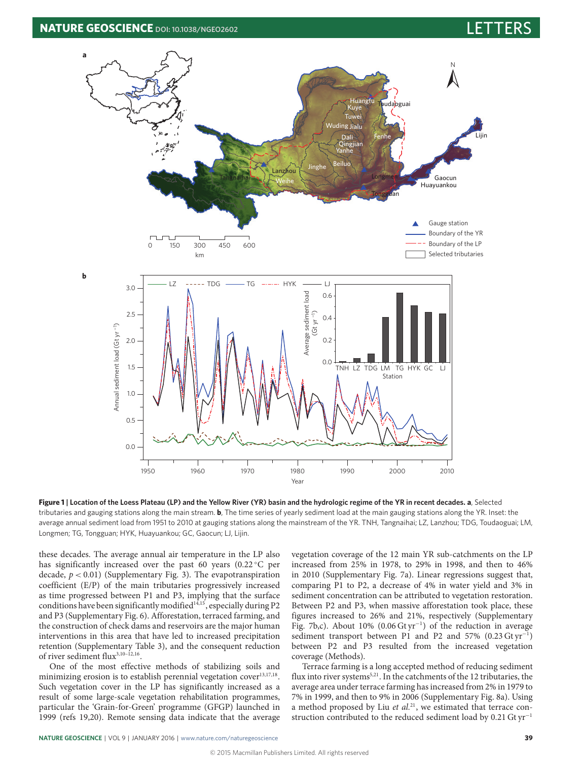

**Figure 1 | Location of the Loess Plateau (LP) and the Yellow River (YR) basin and the hydrologic regime of the YR in recent decades. a**, Selected tributaries and gauging stations along the main stream. **b**, The time series of yearly sediment load at the main gauging stations along the YR. Inset: the average annual sediment load from 1951 to 2010 at gauging stations along the mainstream of the YR. TNH, Tangnaihai; LZ, Lanzhou; TDG, Toudaoguai; LM, Longmen; TG, Tongguan; HYK, Huayuankou; GC, Gaocun; LJ, Lijin.

these decades. The average annual air temperature in the LP also has significantly increased over the past 60 years (0.22 °C per decade,  $p < 0.01$ ) (Supplementary Fig. 3). The evapotranspiration coefficient (E/P) of the main tributaries progressively increased as time progressed between P1 and P3, implying that the surface conditions have been significantly modified<sup>[14,](#page-3-12)[15](#page-3-13)</sup>, especially during P2 and P3 (Supplementary Fig. 6). Afforestation, terraced farming, and the construction of check dams and reservoirs are the major human interventions in this area that have led to increased precipitation retention (Supplementary Table 3), and the consequent reduction of river sediment flux<sup>[3](#page-3-2),10-[12](#page-3-14)[,16](#page-3-15)</sup>.

One of the most effective methods of stabilizing soils and minimizing erosion is to establish perennial vegetation cover<sup>[13](#page-3-10)[,17,](#page-3-16)[18](#page-3-17)</sup>. Such vegetation cover in the LP has significantly increased as a result of some large-scale vegetation rehabilitation programmes, particular the 'Grain-for-Green' programme (GFGP) launched in 1999 (refs [19,](#page-3-18)[20\)](#page-3-19). Remote sensing data indicate that the average <span id="page-1-0"></span>vegetation coverage of the 12 main YR sub-catchments on the LP increased from 25% in 1978, to 29% in 1998, and then to 46% in 2010 (Supplementary Fig. 7a). Linear regressions suggest that, comparing P1 to P2, a decrease of 4% in water yield and 3% in sediment concentration can be attributed to vegetation restoration. Between P2 and P3, when massive afforestation took place, these figures increased to 26% and 21%, respectively (Supplementary Fig. 7b,c). About 10% (0.06 Gt yr<sup>−</sup><sup>1</sup> ) of the reduction in average sediment transport between P1 and P2 and 57% (0.23 Gt yr<sup>-1</sup>) between P2 and P3 resulted from the increased vegetation coverage (Methods).

Terrace farming is a long accepted method of reducing sediment flux into river systems<sup>[5](#page-3-4)[,21](#page-3-20)</sup>. In the catchments of the 12 tributaries, the average area under terrace farming has increased from 2% in 1979 to 7% in 1999, and then to 9% in 2006 (Supplementary Fig. 8a). Using a method proposed by Liu et  $al$ <sup>[21](#page-3-20)</sup>, we estimated that terrace construction contributed to the reduced sediment load by 0.21 Gt yr<sup>−</sup><sup>1</sup>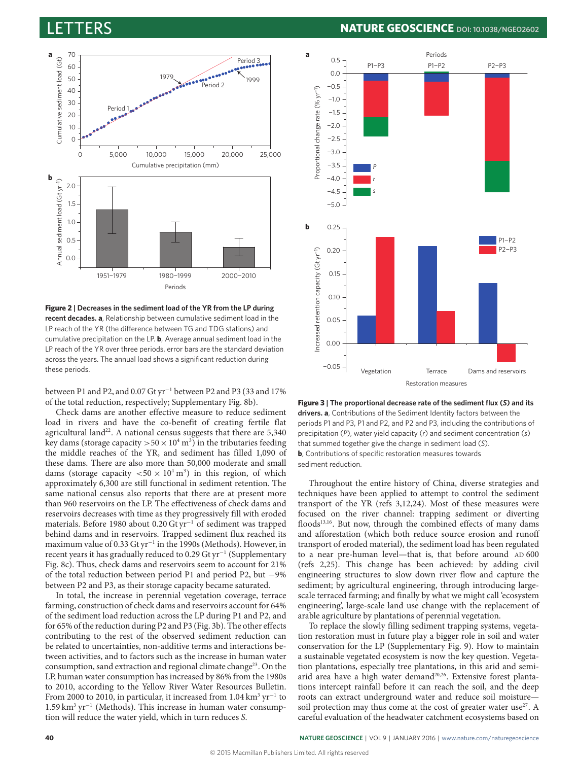

<span id="page-2-0"></span>**Figure 2 | Decreases in the sediment load of the YR from the LP during recent decades. a**, Relationship between cumulative sediment load in the LP reach of the YR (the difference between TG and TDG stations) and cumulative precipitation on the LP. **b**, Average annual sediment load in the LP reach of the YR over three periods, error bars are the standard deviation across the years. The annual load shows a significant reduction during these periods.

between P1 and P2, and 0.07 Gt yr<sup>−</sup><sup>1</sup> between P2 and P3 (33 and 17% of the total reduction, respectively; Supplementary Fig. 8b).

Check dams are another effective measure to reduce sediment load in rivers and have the co-benefit of creating fertile flat agricultural land<sup>[22](#page-3-21)</sup>. A national census suggests that there are  $5,340$ key dams (storage capacity  $> 50 \times 10^4 \,\mathrm{m}^3$ ) in the tributaries feeding the middle reaches of the YR, and sediment has filled 1,090 of these dams. There are also more than 50,000 moderate and small dams (storage capacity  $< 50 \times 10^4$  m<sup>3</sup>) in this region, of which approximately 6,300 are still functional in sediment retention. The same national census also reports that there are at present more than 960 reservoirs on the LP. The effectiveness of check dams and reservoirs decreases with time as they progressively fill with eroded materials. Before 1980 about 0.20 Gt yr<sup>−</sup><sup>1</sup> of sediment was trapped behind dams and in reservoirs. Trapped sediment flux reached its maximum value of 0.33 Gt yr<sup>-1</sup> in the 1990s (Methods). However, in recent years it has gradually reduced to 0.29 Gt yr<sup>−</sup><sup>1</sup> (Supplementary Fig. 8c). Thus, check dams and reservoirs seem to account for 21% of the total reduction between period P1 and period P2, but −9% between P2 and P3, as their storage capacity became saturated.

In total, the increase in perennial vegetation coverage, terrace farming, construction of check dams and reservoirs account for 64% of the sediment load reduction across the LP during P1 and P2, and for 65% of the reduction during P2 and P3 (Fig. [3b](#page-2-1)). The other effects contributing to the rest of the observed sediment reduction can be related to uncertainties, non-additive terms and interactions between activities, and to factors such as the increase in human water consumption, sand extraction and regional climate change<sup>[23](#page-3-22)</sup>. On the LP, human water consumption has increased by 86% from the 1980s to 2010, according to the Yellow River Water Resources Bulletin. From 2000 to 2010, in particular, it increased from  $1.04\,\mathrm{km^3\,yr^{-1}}$  to 1.59 km<sup>3</sup> yr<sup>-1</sup> (Methods). This increase in human water consumption will reduce the water yield, which in turn reduces S.

# LETTERS **NATURE GEOSCIENCE DOI: [10.1038/NGEO2602](http://dx.doi.org/10.1038/ngeo2602)**



<span id="page-2-1"></span>**Figure 3 | The proportional decrease rate of the sediment flux (***S***) and its drivers. a**, Contributions of the Sediment Identity factors between the periods P1 and P3, P1 and P2, and P2 and P3, including the contributions of precipitation (*P*), water yield capacity (*r*) and sediment concentration (*s*) that summed together give the change in sediment load (*S*). **b**, Contributions of specific restoration measures towards sediment reduction.

Throughout the entire history of China, diverse strategies and techniques have been applied to attempt to control the sediment transport of the YR (refs [3](#page-3-2)[,12](#page-3-14)[,24\)](#page-3-23). Most of these measures were focused on the river channel: trapping sediment or diverting floods<sup>[13,](#page-3-10)[16](#page-3-15)</sup>. But now, through the combined effects of many dams and afforestation (which both reduce source erosion and runoff transport of eroded material), the sediment load has been regulated to a near pre-human level—that is, that before around AD 600 (refs [2,](#page-3-1)[25\)](#page-3-24). This change has been achieved: by adding civil engineering structures to slow down river flow and capture the sediment; by agricultural engineering, through introducing largescale terraced farming; and finally by what we might call 'ecosystem engineering', large-scale land use change with the replacement of arable agriculture by plantations of perennial vegetation.

To replace the slowly filling sediment trapping systems, vegetation restoration must in future play a bigger role in soil and water conservation for the LP (Supplementary Fig. 9). How to maintain a sustainable vegetated ecosystem is now the key question. Vegetation plantations, especially tree plantations, in this arid and semi-arid area have a high water demand<sup>[20,](#page-3-19)[26](#page-3-25)</sup>. Extensive forest plantations intercept rainfall before it can reach the soil, and the deep roots can extract underground water and reduce soil moisture— soil protection may thus come at the cost of greater water use<sup>[27](#page-3-26)</sup>. A careful evaluation of the headwater catchment ecosystems based on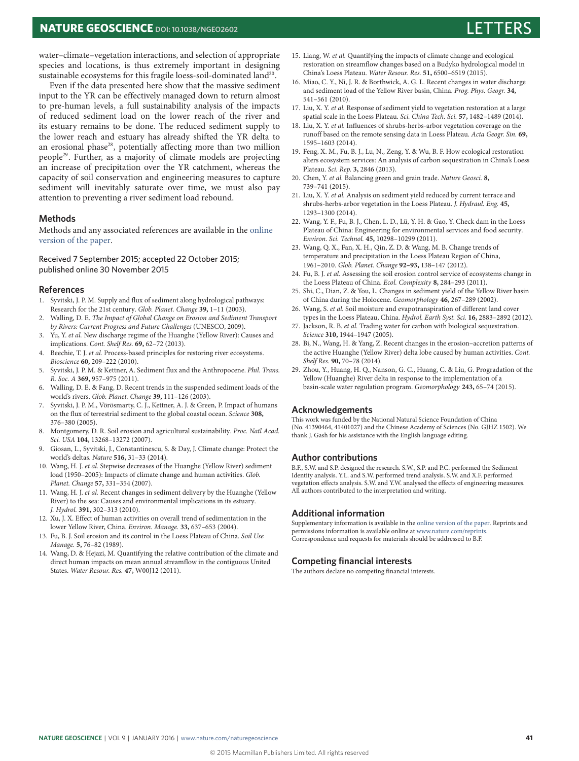## **NATURE GEOSCIENCE** DOI: [10.1038/NGEO2602](http://dx.doi.org/10.1038/ngeo2602)

water–climate–vegetation interactions, and selection of appropriate species and locations, is thus extremely important in designing sustainable ecosystems for this fragile loess-soil-dominated land $^{\scriptsize 20}.$  $^{\scriptsize 20}.$  $^{\scriptsize 20}.$ 

Even if the data presented here show that the massive sediment input to the YR can be effectively managed down to return almost to pre-human levels, a full sustainability analysis of the impacts of reduced sediment load on the lower reach of the river and its estuary remains to be done. The reduced sediment supply to the lower reach and estuary has already shifted the YR delta to an erosional phase<sup>[28](#page-3-27)</sup>, potentially affecting more than two million people[29](#page-3-28). Further, as a majority of climate models are projecting an increase of precipitation over the YR catchment, whereas the capacity of soil conservation and engineering measures to capture sediment will inevitably saturate over time, we must also pay attention to preventing a river sediment load rebound.

### **Methods**

Methods and any associated references are available in the [online](http://dx.doi.org/10.1038/ngeo2602) [version of the paper.](http://dx.doi.org/10.1038/ngeo2602)

### Received 7 September 2015; accepted 22 October 2015; published online 30 November 2015

#### **References**

- <span id="page-3-0"></span>1. Syvitski, J. P. M. Supply and flux of sediment along hydrological pathways: Research for the 21st century. Glob. Planet. Change **39,** 1–11 (2003).
- <span id="page-3-1"></span>2. Walling, D. E. The Impact of Global Change on Erosion and Sediment Transport by Rivers: Current Progress and Future Challenges (UNESCO, 2009).
- <span id="page-3-2"></span>3. Yu, Y. et al. New discharge regime of the Huanghe (Yellow River): Causes and implications. Cont. Shelf Res. **69,** 62–72 (2013).
- <span id="page-3-3"></span>4. Beechie, T. J. et al. Process-based principles for restoring river ecosystems. Bioscience **60,** 209–222 (2010).
- <span id="page-3-4"></span>5. Syvitski, J. P. M. & Kettner, A. Sediment flux and the Anthropocene. Phil. Trans. R. Soc. A **369,** 957–975 (2011).
- <span id="page-3-5"></span>6. Walling, D. E. & Fang, D. Recent trends in the suspended sediment loads of the world's rivers. Glob. Planet. Change **39,** 111–126 (2003).
- <span id="page-3-6"></span>7. Syvitski, J. P. M., Vörösmarty, C. J., Kettner, A. J. & Green, P. Impact of humans on the flux of terrestrial sediment to the global coastal ocean. Science **308,** 376–380 (2005).
- <span id="page-3-7"></span>8. Montgomery, D. R. Soil erosion and agricultural sustainability. Proc. Natl Acad. Sci. USA **104,** 13268–13272 (2007).
- <span id="page-3-8"></span>9. Giosan, L., Syvitski, J., Constantinescu, S. & Day, J. Climate change: Protect the world's deltas. Nature **516,** 31–33 (2014).
- <span id="page-3-9"></span>10. Wang, H. J. et al. Stepwise decreases of the Huanghe (Yellow River) sediment load (1950–2005): Impacts of climate change and human activities. Glob. Planet. Change **57,** 331–354 (2007).
- <span id="page-3-11"></span>11. Wang, H. J. et al. Recent changes in sediment delivery by the Huanghe (Yellow River) to the sea: Causes and environmental implications in its estuary. J. Hydrol. **391,** 302–313 (2010).
- <span id="page-3-14"></span>12. Xu, J. X. Effect of human activities on overall trend of sedimentation in the lower Yellow River, China. Environ. Manage. **33,** 637–653 (2004).
- <span id="page-3-10"></span>13. Fu, B. J. Soil erosion and its control in the Loess Plateau of China. Soil Use Manage. **5,** 76–82 (1989).
- <span id="page-3-12"></span>14. Wang, D. & Hejazi, M. Quantifying the relative contribution of the climate and direct human impacts on mean annual streamflow in the contiguous United States. Water Resour. Res. **47,** W00J12 (2011).
- <span id="page-3-13"></span>15. Liang, W. et al. Quantifying the impacts of climate change and ecological restoration on streamflow changes based on a Budyko hydrological model in China's Loess Plateau. Water Resour. Res. **51,** 6500–6519 (2015).
- <span id="page-3-15"></span>16. Miao, C. Y., Ni, J. R. & Borthwick, A. G. L. Recent changes in water discharge and sediment load of the Yellow River basin, China. Prog. Phys. Geogr. **34,** 541–561 (2010).
- <span id="page-3-16"></span>17. Liu, X. Y. et al. Response of sediment yield to vegetation restoration at a large spatial scale in the Loess Plateau. Sci. China Tech. Sci. **57,** 1482–1489 (2014).
- <span id="page-3-17"></span>18. Liu, X. Y. et al. Influences of shrubs-herbs-arbor vegetation coverage on the runoff based on the remote sensing data in Loess Plateau. Acta Geogr. Sin. **69,** 1595–1603 (2014).
- <span id="page-3-18"></span>19. Feng, X. M., Fu, B. J., Lu, N., Zeng, Y. & Wu, B. F. How ecological restoration alters ecosystem services: An analysis of carbon sequestration in China's Loess Plateau. Sci. Rep. **3,** 2846 (2013).
- <span id="page-3-19"></span>20. Chen, Y. et al. Balancing green and grain trade. Nature Geosci. **8,** 739–741 (2015).
- <span id="page-3-20"></span>21. Liu, X. Y. et al. Analysis on sediment yield reduced by current terrace and shrubs-herbs-arbor vegetation in the Loess Plateau. J. Hydraul. Eng. **45,** 1293–1300 (2014).
- <span id="page-3-21"></span>22. Wang, Y. F., Fu, B. J., Chen, L. D., Lü, Y. H. & Gao, Y. Check dam in the Loess Plateau of China: Engineering for environmental services and food security. Environ. Sci. Technol. **45,** 10298–10299 (2011).
- <span id="page-3-22"></span>23. Wang, Q. X., Fan, X. H., Qin, Z. D. & Wang, M. B. Change trends of temperature and precipitation in the Loess Plateau Region of China, 1961–2010. Glob. Planet. Change **92–93,** 138–147 (2012).
- <span id="page-3-23"></span>24. Fu, B. J. et al. Assessing the soil erosion control service of ecosystems change in the Loess Plateau of China. Ecol. Complexity **8,** 284–293 (2011).
- <span id="page-3-24"></span>25. Shi, C., Dian, Z. & You, L. Changes in sediment yield of the Yellow River basin of China during the Holocene. Geomorphology **46,** 267–289 (2002).
- <span id="page-3-25"></span>26. Wang, S. et al. Soil moisture and evapotranspiration of different land cover types in the Loess Plateau, China. Hydrol. Earth Syst. Sci. **16,** 2883–2892 (2012).
- <span id="page-3-26"></span>27. Jackson, R. B. et al. Trading water for carbon with biological sequestration. Science **310,** 1944–1947 (2005).
- <span id="page-3-27"></span>28. Bi, N., Wang, H. & Yang, Z. Recent changes in the erosion–accretion patterns of the active Huanghe (Yellow River) delta lobe caused by human activities. Cont. Shelf Res. **90,** 70–78 (2014).
- <span id="page-3-28"></span>29. Zhou, Y., Huang, H. Q., Nanson, G. C., Huang, C. & Liu, G. Progradation of the Yellow (Huanghe) River delta in response to the implementation of a basin-scale water regulation program. Geomorphology **243,** 65–74 (2015).

#### **Acknowledgements**

This work was funded by the National Natural Science Foundation of China (No. 41390464, 41401027) and the Chinese Academy of Sciences (No. GJHZ 1502). We thank J. Gash for his assistance with the English language editing.

#### **Author contributions**

B.F., S.W. and S.P. designed the research. S.W., S.P. and P.C. performed the Sediment Identity analysis. Y.L. and S.W. performed trend analysis. S.W. and X.F. performed vegetation effects analysis. S.W. and Y.W. analysed the effects of engineering measures. All authors contributed to the interpretation and writing.

#### **Additional information**

Supplementary information is available in the [online version of the paper.](http://dx.doi.org/10.1038/ngeo2602) Reprints and permissions information is available online at [www.nature.com/reprints.](http://www.nature.com/reprints) Correspondence and requests for materials should be addressed to B.F.

#### **Competing financial interests**

The authors declare no competing financial interests.